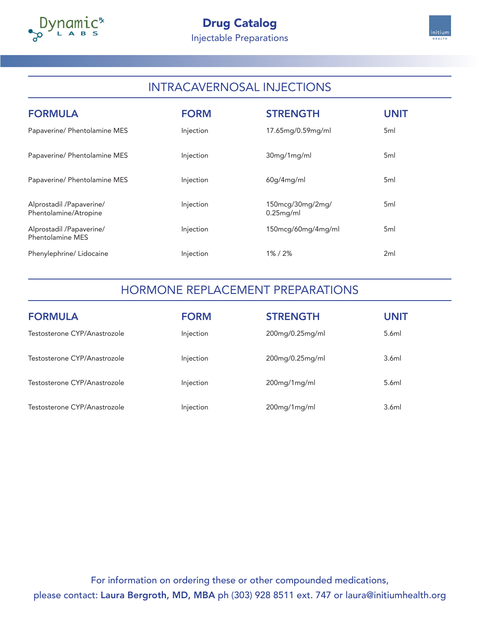



# INTRACAVERNOSAL INJECTIONS

| <b>FORMULA</b>                                    | <b>FORM</b> | <b>STRENGTH</b>                  | UNIT            |
|---------------------------------------------------|-------------|----------------------------------|-----------------|
| Papaverine/ Phentolamine MES                      | Injection   | 17.65mg/0.59mg/ml                | 5 <sub>ml</sub> |
| Papaverine/ Phentolamine MES                      | Injection   | 30mg/1mg/ml                      | 5 <sub>ml</sub> |
| Papaverine/ Phentolamine MES                      | Injection   | 60g/4mg/ml                       | 5 <sub>ml</sub> |
| Alprostadil /Papaverine/<br>Phentolamine/Atropine | Injection   | 150mcg/30mg/2mg/<br>$0.25$ mg/ml | 5 <sub>ml</sub> |
| Alprostadil /Papaverine/<br>Phentolamine MES      | Injection   | 150mcg/60mg/4mg/ml               | 5 <sub>ml</sub> |
| Phenylephrine/ Lidocaine                          | Injection   | 1%/2%                            | 2ml             |

## HORMONE REPLACEMENT PREPARATIONS

| <b>FORMULA</b>               | <b>FORM</b> | <b>STRENGTH</b>    | <b>UNIT</b> |
|------------------------------|-------------|--------------------|-------------|
| Testosterone CYP/Anastrozole | Injection   | 200mg/0.25mg/ml    | 5.6ml       |
| Testosterone CYP/Anastrozole | Injection   | $200$ mg/0.25mg/ml | 3.6ml       |
| Testosterone CYP/Anastrozole | Injection   | 200mg/1mg/ml       | 5.6ml       |
| Testosterone CYP/Anastrozole | Injection   | $200$ mg/1mg/ml    | 3.6ml       |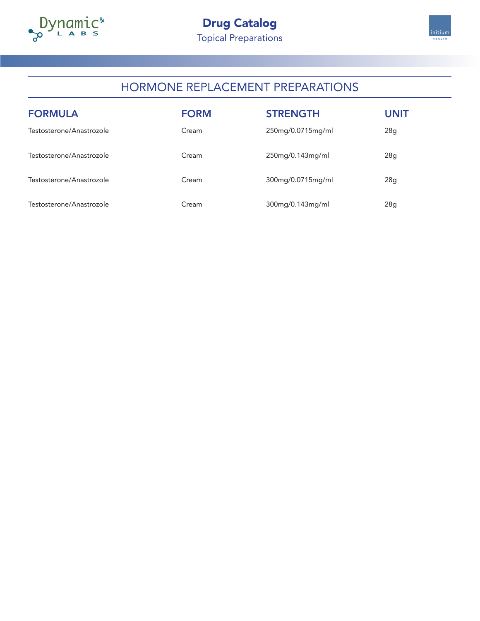



## HORMONE REPLACEMENT PREPARATIONS

| <b>FORMULA</b>           | <b>FORM</b> | <b>STRENGTH</b>   | <b>UNIT</b> |
|--------------------------|-------------|-------------------|-------------|
| Testosterone/Anastrozole | Cream       | 250mg/0.0715mg/ml | 28g         |
| Testosterone/Anastrozole | Cream       | 250mg/0.143mg/ml  | 28g         |
| Testosterone/Anastrozole | Cream       | 300mg/0.0715mg/ml | 28g         |
| Testosterone/Anastrozole | Cream       | 300mg/0.143mg/ml  | 28g         |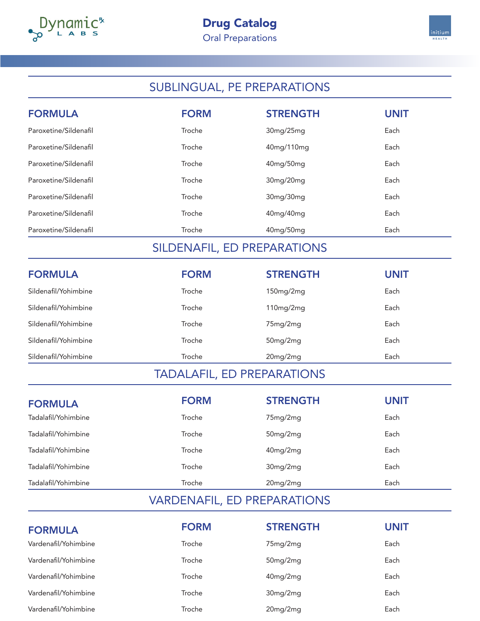



# SUBLINGUAL, PE PREPARATIONS

| <b>FORMULA</b>        | <b>FORM</b> | <b>STRENGTH</b> | <b>UNIT</b> |
|-----------------------|-------------|-----------------|-------------|
| Paroxetine/Sildenafil | Troche      | 30mg/25mg       | Each        |
| Paroxetine/Sildenafil | Troche      | 40mg/110mg      | Each        |
| Paroxetine/Sildenafil | Troche      | 40mg/50mg       | Each        |
| Paroxetine/Sildenafil | Troche      | 30mg/20mg       | Each        |
| Paroxetine/Sildenafil | Troche      | 30mg/30mg       | Each        |
| Paroxetine/Sildenafil | Troche      | 40mg/40mg       | Each        |
| Paroxetine/Sildenafil | Troche      | 40mg/50mg       | Each        |

## SILDENAFIL, ED PREPARATIONS

| <b>FORMULA</b>       | <b>FORM</b> | <b>STRENGTH</b> | <b>UNIT</b> |
|----------------------|-------------|-----------------|-------------|
| Sildenafil/Yohimbine | Troche      | 150mg/2mg       | Each        |
| Sildenafil/Yohimbine | Troche      | 110mg/2mg       | Each        |
| Sildenafil/Yohimbine | Troche      | 75mg/2mg        | Each        |
| Sildenafil/Yohimbine | Troche      | $50$ mg/ $2$ mg | Each        |
| Sildenafil/Yohimbine | Troche      | 20mg/2mg        | Each        |

## TADALAFIL, ED PREPARATIONS

| <b>FORMULA</b>      | <b>FORM</b> | <b>STRENGTH</b> | <b>UNIT</b> |
|---------------------|-------------|-----------------|-------------|
| Tadalafil/Yohimbine | Troche      | 75mg/2mg        | Each        |
| Tadalafil/Yohimbine | Troche      | 50mg/2mg        | Each        |
| Tadalafil/Yohimbine | Troche      | 40mg/2mg        | Each        |
| Tadalafil/Yohimbine | Troche      | 30mg/2mg        | Each        |
| Tadalafil/Yohimbine | Troche      | 20mg/2mg        | Each        |

#### VARDENAFIL, ED PREPARATIONS

| <b>FORMULA</b>       | <b>FORM</b> | <b>STRENGTH</b> | UNIT |
|----------------------|-------------|-----------------|------|
| Vardenafil/Yohimbine | Troche      | 75mg/2mg        | Each |
| Vardenafil/Yohimbine | Troche      | $50$ mg/ $2$ mg | Each |
| Vardenafil/Yohimbine | Troche      | $40$ mg/ $2$ mg | Each |
| Vardenafil/Yohimbine | Troche      | 30mg/2mg        | Each |
| Vardenafil/Yohimbine | Troche      | $20$ mg/ $2$ mg | Each |